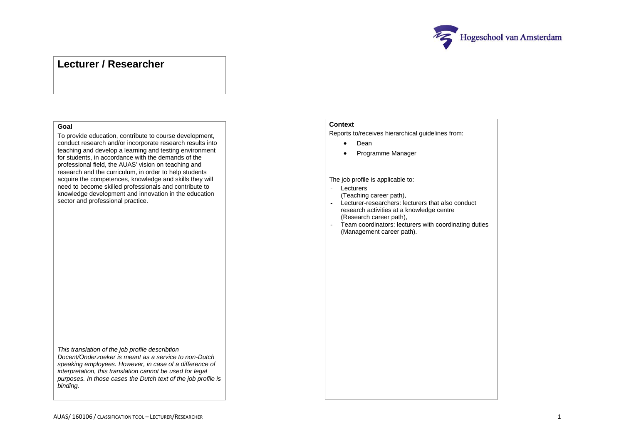

# **Lecturer / Researcher**

### **Goal**

To provide education, contribute to course development, conduct research and/or incorporate research results into teaching and develop a learning and testing environment for students, in accordance with the demands of the professional field, the AUAS' vision on teaching and research and the curriculum, in order to help students acquire the competences, knowledge and skills they will need to become skilled professionals and contribute to knowledge development and innovation in the education sector and professional practice.

*This translation of the job profile describtion Docent/Onderzoeker is meant as a service to non-Dutch speaking employees. However, in case of a difference of interpretation, this translation cannot be used for legal purposes. In those cases the Dutch text of the job profile is binding.*

### **Context**

Reports to/receives hierarchical guidelines from:

- Dean
- Programme Manager

#### The job profile is applicable to:

- Lecturers
	- (Teaching career path),
- Lecturer-researchers: lecturers that also conduct research activities at a knowledge centre (Research career path),
- Team coordinators: lecturers with coordinating duties (Management career path).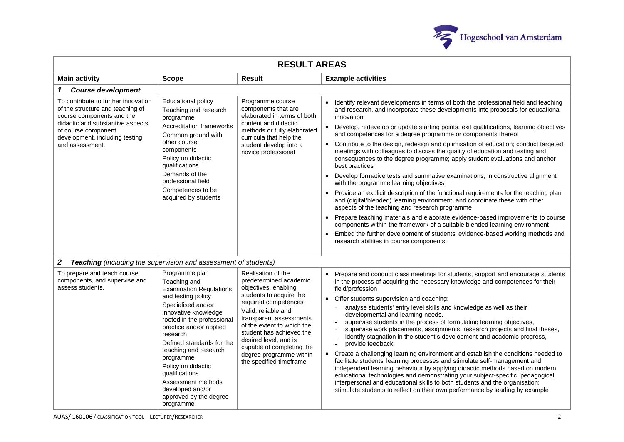

| <b>RESULT AREAS</b>                                                                                                                                                                                                  |                                                                                                                                                                                                                                                                                                                                                                                                       |                                                                                                                                                                                                                                                                                                                                                 |                                                                                                                                                                                                                                                                                                                                                                                                                                                                                                                                                                                                                                                                                                                                                                                                                                                                                                                                                                                                                                                                                                                                                                                                                                                                       |  |
|----------------------------------------------------------------------------------------------------------------------------------------------------------------------------------------------------------------------|-------------------------------------------------------------------------------------------------------------------------------------------------------------------------------------------------------------------------------------------------------------------------------------------------------------------------------------------------------------------------------------------------------|-------------------------------------------------------------------------------------------------------------------------------------------------------------------------------------------------------------------------------------------------------------------------------------------------------------------------------------------------|-----------------------------------------------------------------------------------------------------------------------------------------------------------------------------------------------------------------------------------------------------------------------------------------------------------------------------------------------------------------------------------------------------------------------------------------------------------------------------------------------------------------------------------------------------------------------------------------------------------------------------------------------------------------------------------------------------------------------------------------------------------------------------------------------------------------------------------------------------------------------------------------------------------------------------------------------------------------------------------------------------------------------------------------------------------------------------------------------------------------------------------------------------------------------------------------------------------------------------------------------------------------------|--|
| <b>Result</b><br><b>Main activity</b><br><b>Scope</b>                                                                                                                                                                |                                                                                                                                                                                                                                                                                                                                                                                                       |                                                                                                                                                                                                                                                                                                                                                 | <b>Example activities</b>                                                                                                                                                                                                                                                                                                                                                                                                                                                                                                                                                                                                                                                                                                                                                                                                                                                                                                                                                                                                                                                                                                                                                                                                                                             |  |
| <b>Course development</b>                                                                                                                                                                                            |                                                                                                                                                                                                                                                                                                                                                                                                       |                                                                                                                                                                                                                                                                                                                                                 |                                                                                                                                                                                                                                                                                                                                                                                                                                                                                                                                                                                                                                                                                                                                                                                                                                                                                                                                                                                                                                                                                                                                                                                                                                                                       |  |
| To contribute to further innovation<br>of the structure and teaching of<br>course components and the<br>didactic and substantive aspects<br>of course component<br>development, including testing<br>and assessment. | <b>Educational policy</b><br>Teaching and research<br>programme<br><b>Accreditation frameworks</b><br>Common ground with<br>other course<br>components<br>Policy on didactic<br>qualifications<br>Demands of the<br>professional field<br>Competences to be<br>acquired by students                                                                                                                   | Programme course<br>components that are<br>elaborated in terms of both<br>content and didactic<br>methods or fully elaborated<br>curricula that help the<br>student develop into a<br>novice professional                                                                                                                                       | Identify relevant developments in terms of both the professional field and teaching<br>and research, and incorporate these developments into proposals for educational<br>innovation<br>Develop, redevelop or update starting points, exit qualifications, learning objectives<br>and competences for a degree programme or components thereof<br>Contribute to the design, redesign and optimisation of education; conduct targeted<br>meetings with colleagues to discuss the quality of education and testing and<br>consequences to the degree programme; apply student evaluations and anchor<br>best practices<br>Develop formative tests and summative examinations, in constructive alignment<br>with the programme learning objectives<br>Provide an explicit description of the functional requirements for the teaching plan<br>and (digital/blended) learning environment, and coordinate these with other<br>aspects of the teaching and research programme<br>Prepare teaching materials and elaborate evidence-based improvements to course<br>components within the framework of a suitable blended learning environment<br>Embed the further development of students' evidence-based working methods and<br>research abilities in course components. |  |
| $\boldsymbol{2}$<br>Teaching (including the supervision and assessment of students)                                                                                                                                  |                                                                                                                                                                                                                                                                                                                                                                                                       |                                                                                                                                                                                                                                                                                                                                                 |                                                                                                                                                                                                                                                                                                                                                                                                                                                                                                                                                                                                                                                                                                                                                                                                                                                                                                                                                                                                                                                                                                                                                                                                                                                                       |  |
| To prepare and teach course<br>components, and supervise and<br>assess students.                                                                                                                                     | Programme plan<br>Teaching and<br><b>Examination Regulations</b><br>and testing policy<br>Specialised and/or<br>innovative knowledge<br>rooted in the professional<br>practice and/or applied<br>research<br>Defined standards for the<br>teaching and research<br>programme<br>Policy on didactic<br>qualifications<br>Assessment methods<br>developed and/or<br>approved by the degree<br>programme | Realisation of the<br>predetermined academic<br>objectives, enabling<br>students to acquire the<br>required competences<br>Valid, reliable and<br>transparent assessments<br>of the extent to which the<br>student has achieved the<br>desired level, and is<br>capable of completing the<br>degree programme within<br>the specified timeframe | Prepare and conduct class meetings for students, support and encourage students<br>in the process of acquiring the necessary knowledge and competences for their<br>field/profession<br>• Offer students supervision and coaching:<br>analyse students' entry level skills and knowledge as well as their<br>developmental and learning needs,<br>supervise students in the process of formulating learning objectives,<br>supervise work placements, assignments, research projects and final theses,<br>identify stagnation in the student's development and academic progress,<br>provide feedback<br>• Create a challenging learning environment and establish the conditions needed to<br>facilitate students' learning processes and stimulate self-management and<br>independent learning behaviour by applying didactic methods based on modern<br>educational technologies and demonstrating your subject-specific, pedagogical,<br>interpersonal and educational skills to both students and the organisation;<br>stimulate students to reflect on their own performance by leading by example                                                                                                                                                              |  |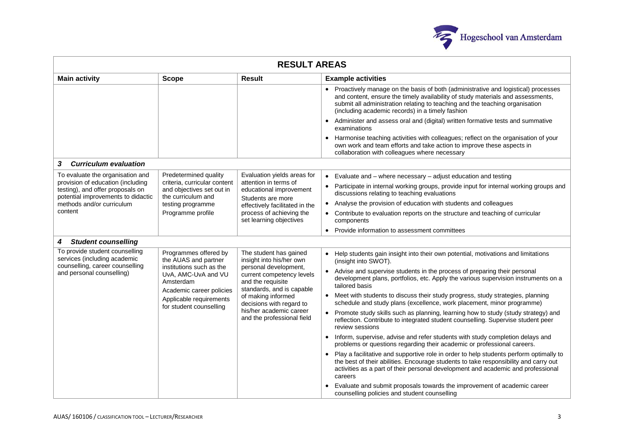

| <b>RESULT AREAS</b>                                                                                                                                                                                                                                                                                                                                                                                                                                                                                                                                                                                        |                                                                                                                                                                                  |                                                                                       |                                                                                                                                                                                                                                                                                                            |  |
|------------------------------------------------------------------------------------------------------------------------------------------------------------------------------------------------------------------------------------------------------------------------------------------------------------------------------------------------------------------------------------------------------------------------------------------------------------------------------------------------------------------------------------------------------------------------------------------------------------|----------------------------------------------------------------------------------------------------------------------------------------------------------------------------------|---------------------------------------------------------------------------------------|------------------------------------------------------------------------------------------------------------------------------------------------------------------------------------------------------------------------------------------------------------------------------------------------------------|--|
| <b>Main activity</b>                                                                                                                                                                                                                                                                                                                                                                                                                                                                                                                                                                                       | <b>Scope</b>                                                                                                                                                                     | Result                                                                                | <b>Example activities</b>                                                                                                                                                                                                                                                                                  |  |
|                                                                                                                                                                                                                                                                                                                                                                                                                                                                                                                                                                                                            |                                                                                                                                                                                  |                                                                                       | • Proactively manage on the basis of both (administrative and logistical) processes<br>and content, ensure the timely availability of study materials and assessments,<br>submit all administration relating to teaching and the teaching organisation<br>(including academic records) in a timely fashion |  |
|                                                                                                                                                                                                                                                                                                                                                                                                                                                                                                                                                                                                            |                                                                                                                                                                                  |                                                                                       | Administer and assess oral and (digital) written formative tests and summative<br>examinations                                                                                                                                                                                                             |  |
|                                                                                                                                                                                                                                                                                                                                                                                                                                                                                                                                                                                                            |                                                                                                                                                                                  |                                                                                       | Harmonise teaching activities with colleagues; reflect on the organisation of your<br>own work and team efforts and take action to improve these aspects in<br>collaboration with colleagues where necessary                                                                                               |  |
| <b>Curriculum evaluation</b><br>3                                                                                                                                                                                                                                                                                                                                                                                                                                                                                                                                                                          |                                                                                                                                                                                  |                                                                                       |                                                                                                                                                                                                                                                                                                            |  |
| To evaluate the organisation and                                                                                                                                                                                                                                                                                                                                                                                                                                                                                                                                                                           | Predetermined quality                                                                                                                                                            | Evaluation yields areas for                                                           | $\bullet$ Evaluate and $-$ where necessary $-$ adjust education and testing                                                                                                                                                                                                                                |  |
| provision of education (including<br>testing), and offer proposals on<br>potential improvements to didactic                                                                                                                                                                                                                                                                                                                                                                                                                                                                                                | criteria, curricular content<br>and objectives set out in<br>the curriculum and                                                                                                  | attention in terms of<br>educational improvement<br>Students are more                 | • Participate in internal working groups, provide input for internal working groups and<br>discussions relating to teaching evaluations                                                                                                                                                                    |  |
| methods and/or curriculum                                                                                                                                                                                                                                                                                                                                                                                                                                                                                                                                                                                  | testing programme<br>Programme profile                                                                                                                                           | effectively facilitated in the<br>process of achieving the<br>set learning objectives | Analyse the provision of education with students and colleagues<br>$\bullet$                                                                                                                                                                                                                               |  |
| content                                                                                                                                                                                                                                                                                                                                                                                                                                                                                                                                                                                                    |                                                                                                                                                                                  |                                                                                       | • Contribute to evaluation reports on the structure and teaching of curricular<br>components                                                                                                                                                                                                               |  |
|                                                                                                                                                                                                                                                                                                                                                                                                                                                                                                                                                                                                            |                                                                                                                                                                                  |                                                                                       | Provide information to assessment committees                                                                                                                                                                                                                                                               |  |
| <b>Student counselling</b><br>4                                                                                                                                                                                                                                                                                                                                                                                                                                                                                                                                                                            |                                                                                                                                                                                  |                                                                                       |                                                                                                                                                                                                                                                                                                            |  |
| To provide student counselling<br>Programmes offered by<br>The student has gained<br>services (including academic<br>the AUAS and partner<br>insight into his/her own<br>counselling, career counselling<br>personal development,<br>institutions such as the<br>and personal counselling)<br>UvA, AMC-UvA and VU<br>current competency levels<br>and the requisite<br>Amsterdam<br>standards, and is capable<br>Academic career policies<br>of making informed<br>Applicable requirements<br>decisions with regard to<br>for student counselling<br>his/her academic career<br>and the professional field |                                                                                                                                                                                  |                                                                                       | • Help students gain insight into their own potential, motivations and limitations<br>(insight into SWOT).                                                                                                                                                                                                 |  |
|                                                                                                                                                                                                                                                                                                                                                                                                                                                                                                                                                                                                            | Advise and supervise students in the process of preparing their personal<br>development plans, portfolios, etc. Apply the various supervision instruments on a<br>tailored basis |                                                                                       |                                                                                                                                                                                                                                                                                                            |  |
|                                                                                                                                                                                                                                                                                                                                                                                                                                                                                                                                                                                                            |                                                                                                                                                                                  |                                                                                       | Meet with students to discuss their study progress, study strategies, planning<br>schedule and study plans (excellence, work placement, minor programme)                                                                                                                                                   |  |
|                                                                                                                                                                                                                                                                                                                                                                                                                                                                                                                                                                                                            |                                                                                                                                                                                  |                                                                                       | • Promote study skills such as planning, learning how to study (study strategy) and<br>reflection. Contribute to integrated student counselling. Supervise student peer<br>review sessions                                                                                                                 |  |
|                                                                                                                                                                                                                                                                                                                                                                                                                                                                                                                                                                                                            |                                                                                                                                                                                  |                                                                                       | Inform, supervise, advise and refer students with study completion delays and<br>problems or questions regarding their academic or professional careers.                                                                                                                                                   |  |
|                                                                                                                                                                                                                                                                                                                                                                                                                                                                                                                                                                                                            |                                                                                                                                                                                  |                                                                                       | • Play a facilitative and supportive role in order to help students perform optimally to<br>the best of their abilities. Encourage students to take responsibility and carry out<br>activities as a part of their personal development and academic and professional<br>careers                            |  |
|                                                                                                                                                                                                                                                                                                                                                                                                                                                                                                                                                                                                            |                                                                                                                                                                                  |                                                                                       | Evaluate and submit proposals towards the improvement of academic career<br>counselling policies and student counselling                                                                                                                                                                                   |  |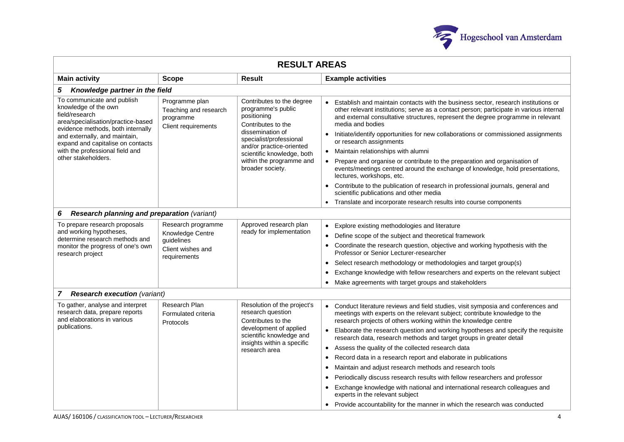

| <b>RESULT AREAS</b>                                                                                                                                                                                                                                                             |                                                                                           |                                                                                                                                                                                                                                               |                                                                                                                                                                                                                                                                                                                                                                                                                                                                                                                                                                                                                                                                                                                                                                                                                                                                                                                   |  |
|---------------------------------------------------------------------------------------------------------------------------------------------------------------------------------------------------------------------------------------------------------------------------------|-------------------------------------------------------------------------------------------|-----------------------------------------------------------------------------------------------------------------------------------------------------------------------------------------------------------------------------------------------|-------------------------------------------------------------------------------------------------------------------------------------------------------------------------------------------------------------------------------------------------------------------------------------------------------------------------------------------------------------------------------------------------------------------------------------------------------------------------------------------------------------------------------------------------------------------------------------------------------------------------------------------------------------------------------------------------------------------------------------------------------------------------------------------------------------------------------------------------------------------------------------------------------------------|--|
| <b>Main activity</b><br><b>Result</b><br><b>Example activities</b><br><b>Scope</b>                                                                                                                                                                                              |                                                                                           |                                                                                                                                                                                                                                               |                                                                                                                                                                                                                                                                                                                                                                                                                                                                                                                                                                                                                                                                                                                                                                                                                                                                                                                   |  |
| 5<br>Knowledge partner in the field                                                                                                                                                                                                                                             |                                                                                           |                                                                                                                                                                                                                                               |                                                                                                                                                                                                                                                                                                                                                                                                                                                                                                                                                                                                                                                                                                                                                                                                                                                                                                                   |  |
| To communicate and publish<br>knowledge of the own<br>field/research<br>area/specialisation/practice-based<br>evidence methods, both internally<br>and externally, and maintain,<br>expand and capitalise on contacts<br>with the professional field and<br>other stakeholders. | Programme plan<br>Teaching and research<br>programme<br>Client requirements               | Contributes to the degree<br>programme's public<br>positioning<br>Contributes to the<br>dissemination of<br>specialist/professional<br>and/or practice-oriented<br>scientific knowledge, both<br>within the programme and<br>broader society. | Establish and maintain contacts with the business sector, research institutions or<br>$\bullet$<br>other relevant institutions; serve as a contact person; participate in various internal<br>and external consultative structures, represent the degree programme in relevant<br>media and bodies<br>Initiate/identify opportunities for new collaborations or commissioned assignments<br>$\bullet$<br>or research assignments<br>Maintain relationships with alumni<br>$\bullet$<br>Prepare and organise or contribute to the preparation and organisation of<br>events/meetings centred around the exchange of knowledge, hold presentations,<br>lectures, workshops, etc.<br>Contribute to the publication of research in professional journals, general and<br>$\bullet$<br>scientific publications and other media<br>Translate and incorporate research results into course components<br>$\bullet$       |  |
| <b>Research planning and preparation (variant)</b><br>6                                                                                                                                                                                                                         |                                                                                           |                                                                                                                                                                                                                                               |                                                                                                                                                                                                                                                                                                                                                                                                                                                                                                                                                                                                                                                                                                                                                                                                                                                                                                                   |  |
| To prepare research proposals<br>and working hypotheses,<br>determine research methods and<br>monitor the progress of one's own<br>research project                                                                                                                             | Research programme<br>Knowledge Centre<br>guidelines<br>Client wishes and<br>requirements | Approved research plan<br>ready for implementation                                                                                                                                                                                            | Explore existing methodologies and literature<br>$\bullet$<br>Define scope of the subject and theoretical framework<br>$\bullet$<br>Coordinate the research question, objective and working hypothesis with the<br>$\bullet$<br>Professor or Senior Lecturer-researcher<br>Select research methodology or methodologies and target group(s)<br>$\bullet$<br>Exchange knowledge with fellow researchers and experts on the relevant subject<br>$\bullet$<br>Make agreements with target groups and stakeholders<br>$\bullet$                                                                                                                                                                                                                                                                                                                                                                                       |  |
| 7 Research execution (variant)                                                                                                                                                                                                                                                  |                                                                                           |                                                                                                                                                                                                                                               |                                                                                                                                                                                                                                                                                                                                                                                                                                                                                                                                                                                                                                                                                                                                                                                                                                                                                                                   |  |
| To gather, analyse and interpret<br>research data, prepare reports<br>and elaborations in various<br>publications.                                                                                                                                                              | Research Plan<br>Formulated criteria<br>Protocols                                         | Resolution of the project's<br>research question<br>Contributes to the<br>development of applied<br>scientific knowledge and<br>insights within a specific<br>research area                                                                   | Conduct literature reviews and field studies, visit symposia and conferences and<br>$\bullet$<br>meetings with experts on the relevant subject; contribute knowledge to the<br>research projects of others working within the knowledge centre<br>Elaborate the research question and working hypotheses and specify the requisite<br>research data, research methods and target groups in greater detail<br>Assess the quality of the collected research data<br>Record data in a research report and elaborate in publications<br>$\bullet$<br>Maintain and adjust research methods and research tools<br>$\bullet$<br>Periodically discuss research results with fellow researchers and professor<br>$\bullet$<br>Exchange knowledge with national and international research colleagues and<br>experts in the relevant subject<br>• Provide accountability for the manner in which the research was conducted |  |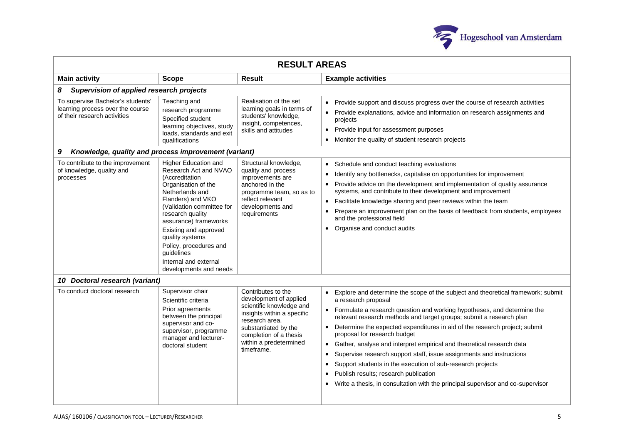

| <b>RESULT AREAS</b>                                                                                                                                                                                                                                                                                                                                                                                                                                                                                                                                                                                                                                                          |                                                                                                                                                                                  |                                                                                                                                                                                                                                                                                                                                                                                                                   |                                                                                                                                                                                                                                                                                                                                                                                                                                                                                                                                                                                                                                                                                                                                              |  |
|------------------------------------------------------------------------------------------------------------------------------------------------------------------------------------------------------------------------------------------------------------------------------------------------------------------------------------------------------------------------------------------------------------------------------------------------------------------------------------------------------------------------------------------------------------------------------------------------------------------------------------------------------------------------------|----------------------------------------------------------------------------------------------------------------------------------------------------------------------------------|-------------------------------------------------------------------------------------------------------------------------------------------------------------------------------------------------------------------------------------------------------------------------------------------------------------------------------------------------------------------------------------------------------------------|----------------------------------------------------------------------------------------------------------------------------------------------------------------------------------------------------------------------------------------------------------------------------------------------------------------------------------------------------------------------------------------------------------------------------------------------------------------------------------------------------------------------------------------------------------------------------------------------------------------------------------------------------------------------------------------------------------------------------------------------|--|
| <b>Main activity</b>                                                                                                                                                                                                                                                                                                                                                                                                                                                                                                                                                                                                                                                         | <b>Scope</b>                                                                                                                                                                     | Result                                                                                                                                                                                                                                                                                                                                                                                                            | <b>Example activities</b>                                                                                                                                                                                                                                                                                                                                                                                                                                                                                                                                                                                                                                                                                                                    |  |
| Supervision of applied research projects<br>8                                                                                                                                                                                                                                                                                                                                                                                                                                                                                                                                                                                                                                |                                                                                                                                                                                  |                                                                                                                                                                                                                                                                                                                                                                                                                   |                                                                                                                                                                                                                                                                                                                                                                                                                                                                                                                                                                                                                                                                                                                                              |  |
| To supervise Bachelor's students'<br>learning process over the course<br>of their research activities                                                                                                                                                                                                                                                                                                                                                                                                                                                                                                                                                                        | Teaching and<br>research programme<br>Specified student<br>learning objectives, study<br>loads, standards and exit<br>qualifications                                             | Realisation of the set<br>learning goals in terms of<br>students' knowledge,<br>insight, competences,<br>skills and attitudes                                                                                                                                                                                                                                                                                     | Provide support and discuss progress over the course of research activities<br>Provide explanations, advice and information on research assignments and<br>projects<br>Provide input for assessment purposes<br>$\bullet$<br>Monitor the quality of student research projects                                                                                                                                                                                                                                                                                                                                                                                                                                                                |  |
| 9<br>Knowledge, quality and process improvement (variant)                                                                                                                                                                                                                                                                                                                                                                                                                                                                                                                                                                                                                    |                                                                                                                                                                                  |                                                                                                                                                                                                                                                                                                                                                                                                                   |                                                                                                                                                                                                                                                                                                                                                                                                                                                                                                                                                                                                                                                                                                                                              |  |
| <b>Higher Education and</b><br>To contribute to the improvement<br>Structural knowledge,<br>of knowledge, quality and<br>Research Act and NVAO<br>quality and process<br>(Accreditation<br>improvements are<br>processes<br>Organisation of the<br>anchored in the<br>Netherlands and<br>programme team, so as to<br>Flanders) and VKO<br>reflect relevant<br>(Validation committee for<br>developments and<br>research quality<br>requirements<br>and the professional field<br>assurance) frameworks<br>Organise and conduct audits<br>Existing and approved<br>quality systems<br>Policy, procedures and<br>guidelines<br>Internal and external<br>developments and needs |                                                                                                                                                                                  | Schedule and conduct teaching evaluations<br>Identify any bottlenecks, capitalise on opportunities for improvement<br>Provide advice on the development and implementation of quality assurance<br>systems, and contribute to their development and improvement<br>Facilitate knowledge sharing and peer reviews within the team<br>Prepare an improvement plan on the basis of feedback from students, employees |                                                                                                                                                                                                                                                                                                                                                                                                                                                                                                                                                                                                                                                                                                                                              |  |
| 10 Doctoral research (variant)                                                                                                                                                                                                                                                                                                                                                                                                                                                                                                                                                                                                                                               |                                                                                                                                                                                  |                                                                                                                                                                                                                                                                                                                                                                                                                   |                                                                                                                                                                                                                                                                                                                                                                                                                                                                                                                                                                                                                                                                                                                                              |  |
| To conduct doctoral research                                                                                                                                                                                                                                                                                                                                                                                                                                                                                                                                                                                                                                                 | Supervisor chair<br>Scientific criteria<br>Prior agreements<br>between the principal<br>supervisor and co-<br>supervisor, programme<br>manager and lecturer-<br>doctoral student | Contributes to the<br>development of applied<br>scientific knowledge and<br>insights within a specific<br>research area,<br>substantiated by the<br>completion of a thesis<br>within a predetermined<br>timeframe.                                                                                                                                                                                                | Explore and determine the scope of the subject and theoretical framework; submit<br>a research proposal<br>Formulate a research question and working hypotheses, and determine the<br>relevant research methods and target groups; submit a research plan<br>Determine the expected expenditures in aid of the research project; submit<br>proposal for research budget<br>Gather, analyse and interpret empirical and theoretical research data<br>Supervise research support staff, issue assignments and instructions<br>Support students in the execution of sub-research projects<br>$\bullet$<br>Publish results; research publication<br>$\bullet$<br>Write a thesis, in consultation with the principal supervisor and co-supervisor |  |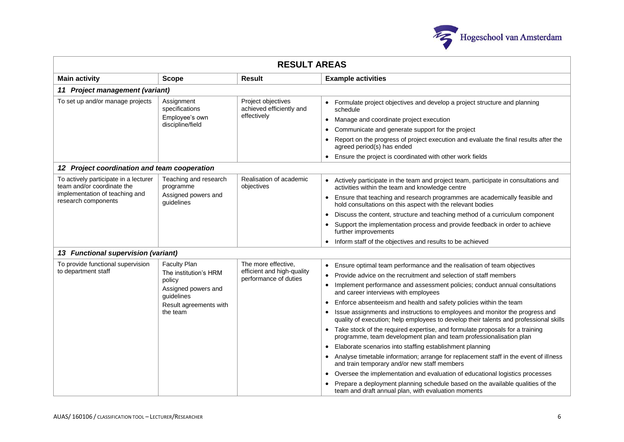

| <b>RESULT AREAS</b>                                                                                                          |                                                                                                                                   |                                                                            |                                                                                                                                                                                                                                                                                                                                                                                                                                                                                                                                                                                                                                                                                                                                                                                                                                                                                                                                                                                                                                                                                                                  |  |
|------------------------------------------------------------------------------------------------------------------------------|-----------------------------------------------------------------------------------------------------------------------------------|----------------------------------------------------------------------------|------------------------------------------------------------------------------------------------------------------------------------------------------------------------------------------------------------------------------------------------------------------------------------------------------------------------------------------------------------------------------------------------------------------------------------------------------------------------------------------------------------------------------------------------------------------------------------------------------------------------------------------------------------------------------------------------------------------------------------------------------------------------------------------------------------------------------------------------------------------------------------------------------------------------------------------------------------------------------------------------------------------------------------------------------------------------------------------------------------------|--|
| <b>Main activity</b>                                                                                                         | <b>Scope</b>                                                                                                                      | <b>Result</b>                                                              | <b>Example activities</b>                                                                                                                                                                                                                                                                                                                                                                                                                                                                                                                                                                                                                                                                                                                                                                                                                                                                                                                                                                                                                                                                                        |  |
| 11 Project management (variant)                                                                                              |                                                                                                                                   |                                                                            |                                                                                                                                                                                                                                                                                                                                                                                                                                                                                                                                                                                                                                                                                                                                                                                                                                                                                                                                                                                                                                                                                                                  |  |
| To set up and/or manage projects                                                                                             | Assignment<br>specifications<br>Employee's own<br>discipline/field                                                                | Project objectives<br>achieved efficiently and<br>effectively              | Formulate project objectives and develop a project structure and planning<br>$\bullet$<br>schedule<br>Manage and coordinate project execution<br>Communicate and generate support for the project<br>$\bullet$<br>Report on the progress of project execution and evaluate the final results after the<br>agreed period(s) has ended<br>Ensure the project is coordinated with other work fields<br>$\bullet$                                                                                                                                                                                                                                                                                                                                                                                                                                                                                                                                                                                                                                                                                                    |  |
| 12 Project coordination and team cooperation                                                                                 |                                                                                                                                   |                                                                            |                                                                                                                                                                                                                                                                                                                                                                                                                                                                                                                                                                                                                                                                                                                                                                                                                                                                                                                                                                                                                                                                                                                  |  |
| To actively participate in a lecturer<br>team and/or coordinate the<br>implementation of teaching and<br>research components | Teaching and research<br>programme<br>Assigned powers and<br>guidelines                                                           | Realisation of academic<br>objectives                                      | Actively participate in the team and project team, participate in consultations and<br>activities within the team and knowledge centre<br>Ensure that teaching and research programmes are academically feasible and<br>hold consultations on this aspect with the relevant bodies<br>Discuss the content, structure and teaching method of a curriculum component<br>Support the implementation process and provide feedback in order to achieve<br>further improvements                                                                                                                                                                                                                                                                                                                                                                                                                                                                                                                                                                                                                                        |  |
|                                                                                                                              |                                                                                                                                   |                                                                            | Inform staff of the objectives and results to be achieved                                                                                                                                                                                                                                                                                                                                                                                                                                                                                                                                                                                                                                                                                                                                                                                                                                                                                                                                                                                                                                                        |  |
| 13 Functional supervision (variant)                                                                                          |                                                                                                                                   |                                                                            |                                                                                                                                                                                                                                                                                                                                                                                                                                                                                                                                                                                                                                                                                                                                                                                                                                                                                                                                                                                                                                                                                                                  |  |
| To provide functional supervision<br>to department staff                                                                     | <b>Faculty Plan</b><br>The institution's HRM<br>policy<br>Assigned powers and<br>guidelines<br>Result agreements with<br>the team | The more effective,<br>efficient and high-quality<br>performance of duties | Ensure optimal team performance and the realisation of team objectives<br>$\bullet$<br>Provide advice on the recruitment and selection of staff members<br>Implement performance and assessment policies; conduct annual consultations<br>and career interviews with employees<br>Enforce absenteeism and health and safety policies within the team<br>Issue assignments and instructions to employees and monitor the progress and<br>quality of execution; help employees to develop their talents and professional skills<br>Take stock of the required expertise, and formulate proposals for a training<br>programme, team development plan and team professionalisation plan<br>Elaborate scenarios into staffing establishment planning<br>Analyse timetable information; arrange for replacement staff in the event of illness<br>and train temporary and/or new staff members<br>Oversee the implementation and evaluation of educational logistics processes<br>Prepare a deployment planning schedule based on the available qualities of the<br>team and draft annual plan, with evaluation moments |  |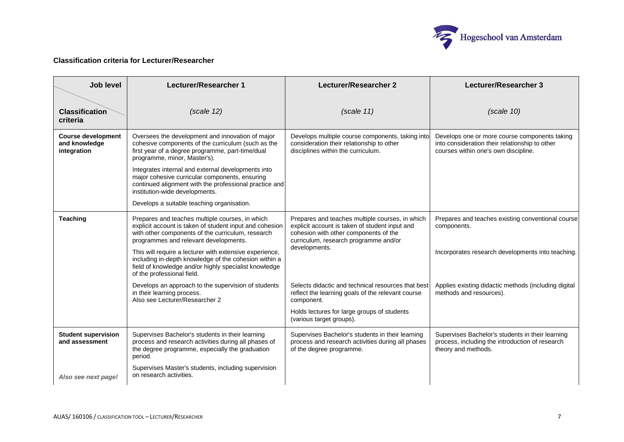

# **Classification criteria for Lecturer/Researcher**

| <b>Job level</b>                                          | Lecturer/Researcher 1                                                                                                                                                                                    | Lecturer/Researcher 2                                                                                                                                                               | Lecturer/Researcher 3                                                                                                                   |
|-----------------------------------------------------------|----------------------------------------------------------------------------------------------------------------------------------------------------------------------------------------------------------|-------------------------------------------------------------------------------------------------------------------------------------------------------------------------------------|-----------------------------------------------------------------------------------------------------------------------------------------|
| <b>Classification</b><br>criteria                         | (scale 12)                                                                                                                                                                                               | (scale 11)                                                                                                                                                                          | (scale 10)                                                                                                                              |
| <b>Course development</b><br>and knowledge<br>integration | Oversees the development and innovation of major<br>cohesive components of the curriculum (such as the<br>first year of a degree programme, part-time/dual<br>programme, minor, Master's).               | Develops multiple course components, taking into<br>consideration their relationship to other<br>disciplines within the curriculum.                                                 | Develops one or more course components taking<br>into consideration their relationship to other<br>courses within one's own discipline. |
|                                                           | Integrates internal and external developments into<br>major cohesive curricular components, ensuring<br>continued alignment with the professional practice and<br>institution-wide developments.         |                                                                                                                                                                                     |                                                                                                                                         |
|                                                           | Develops a suitable teaching organisation.                                                                                                                                                               |                                                                                                                                                                                     |                                                                                                                                         |
| <b>Teaching</b>                                           | Prepares and teaches multiple courses, in which<br>explicit account is taken of student input and cohesion<br>with other components of the curriculum, research<br>programmes and relevant developments. | Prepares and teaches multiple courses, in which<br>explicit account is taken of student input and<br>cohesion with other components of the<br>curriculum, research programme and/or | Prepares and teaches existing conventional course<br>components.                                                                        |
|                                                           | This will require a lecturer with extensive experience,<br>including in-depth knowledge of the cohesion within a<br>field of knowledge and/or highly specialist knowledge<br>of the professional field.  | developments.                                                                                                                                                                       | Incorporates research developments into teaching.                                                                                       |
|                                                           | Develops an approach to the supervision of students<br>in their learning process.<br>Also see Lecturer/Researcher 2                                                                                      | Selects didactic and technical resources that best<br>reflect the learning goals of the relevant course<br>component.                                                               | Applies existing didactic methods (including digital<br>methods and resources).                                                         |
|                                                           |                                                                                                                                                                                                          | Holds lectures for large groups of students<br>(various target groups).                                                                                                             |                                                                                                                                         |
| <b>Student supervision</b><br>and assessment              | Supervises Bachelor's students in their learning<br>process and research activities during all phases of<br>the degree programme, especially the graduation<br>period.                                   | Supervises Bachelor's students in their learning<br>process and research activities during all phases<br>of the degree programme.                                                   | Supervises Bachelor's students in their learning<br>process, including the introduction of research<br>theory and methods.              |
| Also see next page!                                       | Supervises Master's students, including supervision<br>on research activities.                                                                                                                           |                                                                                                                                                                                     |                                                                                                                                         |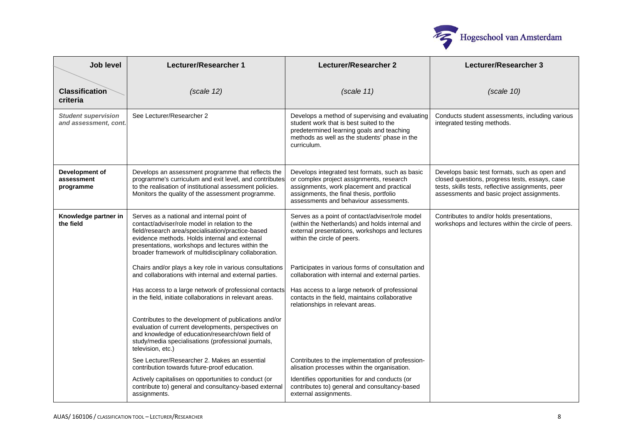

| Job level                                           | Lecturer/Researcher 1                                                                                                                                                                                                                                                                                          | Lecturer/Researcher 2                                                                                                                                                                                                          | Lecturer/Researcher 3                                                                                                                                                                              |
|-----------------------------------------------------|----------------------------------------------------------------------------------------------------------------------------------------------------------------------------------------------------------------------------------------------------------------------------------------------------------------|--------------------------------------------------------------------------------------------------------------------------------------------------------------------------------------------------------------------------------|----------------------------------------------------------------------------------------------------------------------------------------------------------------------------------------------------|
| <b>Classification</b><br>criteria                   | (scale 12)                                                                                                                                                                                                                                                                                                     | (scale 11)                                                                                                                                                                                                                     | (scale 10)                                                                                                                                                                                         |
| <b>Student supervision</b><br>and assessment, cont. | See Lecturer/Researcher 2                                                                                                                                                                                                                                                                                      | Develops a method of supervising and evaluating<br>student work that is best suited to the<br>predetermined learning goals and teaching<br>methods as well as the students' phase in the<br>curriculum.                        | Conducts student assessments, including various<br>integrated testing methods.                                                                                                                     |
| Development of<br>assessment<br>programme           | Develops an assessment programme that reflects the<br>programme's curriculum and exit level, and contributes<br>to the realisation of institutional assessment policies.<br>Monitors the quality of the assessment programme.                                                                                  | Develops integrated test formats, such as basic<br>or complex project assignments, research<br>assignments, work placement and practical<br>assignments, the final thesis, portfolio<br>assessments and behaviour assessments. | Develops basic test formats, such as open and<br>closed questions, progress tests, essays, case<br>tests, skills tests, reflective assignments, peer<br>assessments and basic project assignments. |
| Knowledge partner in<br>the field                   | Serves as a national and internal point of<br>contact/adviser/role model in relation to the<br>field/research area/specialisation/practice-based<br>evidence methods. Holds internal and external<br>presentations, workshops and lectures within the<br>broader framework of multidisciplinary collaboration. | Serves as a point of contact/adviser/role model<br>(within the Netherlands) and holds internal and<br>external presentations, workshops and lectures<br>within the circle of peers.                                            | Contributes to and/or holds presentations,<br>workshops and lectures within the circle of peers.                                                                                                   |
|                                                     | Chairs and/or plays a key role in various consultations<br>and collaborations with internal and external parties.                                                                                                                                                                                              | Participates in various forms of consultation and<br>collaboration with internal and external parties.                                                                                                                         |                                                                                                                                                                                                    |
|                                                     | Has access to a large network of professional contacts<br>in the field, initiate collaborations in relevant areas.                                                                                                                                                                                             | Has access to a large network of professional<br>contacts in the field, maintains collaborative<br>relationships in relevant areas.                                                                                            |                                                                                                                                                                                                    |
|                                                     | Contributes to the development of publications and/or<br>evaluation of current developments, perspectives on<br>and knowledge of education/research/own field of<br>study/media specialisations (professional journals,<br>television, etc.)                                                                   |                                                                                                                                                                                                                                |                                                                                                                                                                                                    |
|                                                     | See Lecturer/Researcher 2. Makes an essential<br>contribution towards future-proof education.                                                                                                                                                                                                                  | Contributes to the implementation of profession-<br>alisation processes within the organisation.                                                                                                                               |                                                                                                                                                                                                    |
|                                                     | Actively capitalises on opportunities to conduct (or<br>contribute to) general and consultancy-based external<br>assignments.                                                                                                                                                                                  | Identifies opportunities for and conducts (or<br>contributes to) general and consultancy-based<br>external assignments.                                                                                                        |                                                                                                                                                                                                    |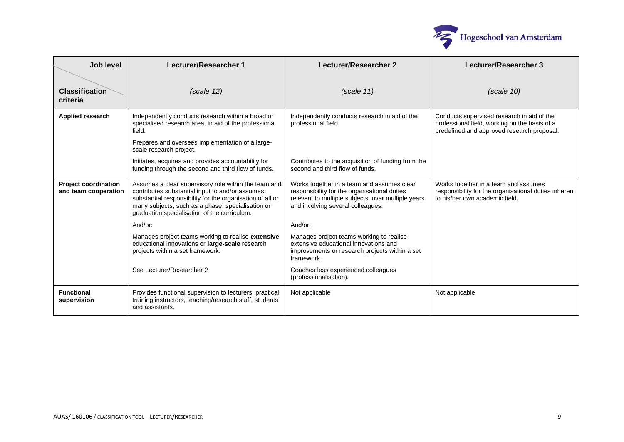

| Job level                                           | Lecturer/Researcher 1                                                                                                                                                                                                                                                     | Lecturer/Researcher 2                                                                                                                                                                 | Lecturer/Researcher 3                                                                                                                     |
|-----------------------------------------------------|---------------------------------------------------------------------------------------------------------------------------------------------------------------------------------------------------------------------------------------------------------------------------|---------------------------------------------------------------------------------------------------------------------------------------------------------------------------------------|-------------------------------------------------------------------------------------------------------------------------------------------|
| <b>Classification</b><br>criteria                   | (scale 12)                                                                                                                                                                                                                                                                | (scale 11)                                                                                                                                                                            | (scale 10)                                                                                                                                |
| <b>Applied research</b>                             | Independently conducts research within a broad or<br>specialised research area, in aid of the professional<br>field.<br>Prepares and oversees implementation of a large-<br>scale research project.                                                                       | Independently conducts research in aid of the<br>professional field.                                                                                                                  | Conducts supervised research in aid of the<br>professional field, working on the basis of a<br>predefined and approved research proposal. |
|                                                     | Initiates, acquires and provides accountability for<br>funding through the second and third flow of funds.                                                                                                                                                                | Contributes to the acquisition of funding from the<br>second and third flow of funds.                                                                                                 |                                                                                                                                           |
| <b>Project coordination</b><br>and team cooperation | Assumes a clear supervisory role within the team and<br>contributes substantial input to and/or assumes<br>substantial responsibility for the organisation of all or<br>many subjects, such as a phase, specialisation or<br>graduation specialisation of the curriculum. | Works together in a team and assumes clear<br>responsibility for the organisational duties<br>relevant to multiple subjects, over multiple years<br>and involving several colleagues. | Works together in a team and assumes<br>responsibility for the organisational duties inherent<br>to his/her own academic field.           |
|                                                     | And/or:                                                                                                                                                                                                                                                                   | And/or:                                                                                                                                                                               |                                                                                                                                           |
|                                                     | Manages project teams working to realise extensive<br>educational innovations or large-scale research<br>projects within a set framework.                                                                                                                                 | Manages project teams working to realise<br>extensive educational innovations and<br>improvements or research projects within a set<br>framework.                                     |                                                                                                                                           |
|                                                     | See Lecturer/Researcher 2                                                                                                                                                                                                                                                 | Coaches less experienced colleagues<br>(professionalisation).                                                                                                                         |                                                                                                                                           |
| <b>Functional</b><br>supervision                    | Provides functional supervision to lecturers, practical<br>training instructors, teaching/research staff, students<br>and assistants.                                                                                                                                     | Not applicable                                                                                                                                                                        | Not applicable                                                                                                                            |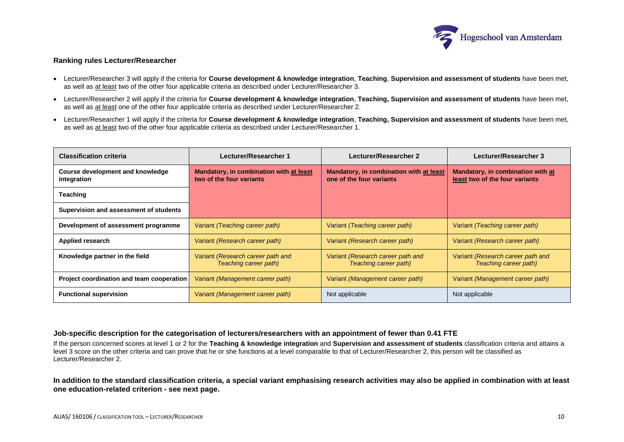

### **Ranking rules Lecturer/Researcher**

- Lecturer/Researcher 3 will apply if the criteria for **Course development & knowledge integration**, **Teaching**, **Supervision and assessment of students** have been met, as well as at least two of the other four applicable criteria as described under Lecturer/Researcher 3.
- Lecturer/Researcher 2 will apply if the criteria for **Course development & knowledge integration**, **Teaching, Supervision and assessment of students** have been met, as well as at least one of the other four applicable criteria as described under Lecturer/Researcher 2.
- Lecturer/Researcher 1 will apply if the criteria for **Course development & knowledge integration**, **Teaching, Supervision and assessment of students** have been met, as well as at least two of the other four applicable criteria as described under Lecturer/Researcher 1.

| <b>Classification criteria</b>                  | Lecturer/Researcher 1                                               | Lecturer/Researcher 2                                               | Lecturer/Researcher 3                                               |
|-------------------------------------------------|---------------------------------------------------------------------|---------------------------------------------------------------------|---------------------------------------------------------------------|
| Course development and knowledge<br>integration | Mandatory, in combination with at least<br>two of the four variants | Mandatory, in combination with at least<br>one of the four variants | Mandatory, in combination with at<br>least two of the four variants |
| Teaching                                        |                                                                     |                                                                     |                                                                     |
| Supervision and assessment of students          |                                                                     |                                                                     |                                                                     |
| Development of assessment programme             | Variant (Teaching career path)                                      | Variant (Teaching career path)                                      | Variant (Teaching career path)                                      |
| <b>Applied research</b>                         | Variant (Research career path)                                      | Variant (Research career path)                                      | Variant (Research career path)                                      |
| Knowledge partner in the field                  | Variant (Research career path and<br>Teaching career path)          | Variant (Research career path and<br>Teaching career path)          | Variant (Research career path and<br>Teaching career path)          |
| Project coordination and team cooperation       | Variant (Management career path)                                    | Variant (Management career path)                                    | Variant (Management career path)                                    |
| <b>Functional supervision</b>                   | Variant (Management career path)                                    | Not applicable                                                      | Not applicable                                                      |

# **Job-specific description for the categorisation of lecturers/researchers with an appointment of fewer than 0.41 FTE**

If the person concerned scores at level 1 or 2 for the **Teaching & knowledge integration** and **Supervision and assessment of students** classification criteria and attains a level 3 score on the other criteria and can prove that he or she functions at a level comparable to that of Lecturer/Researcher 2, this person will be classified as Lecturer/Researcher 2.

**In addition to the standard classification criteria, a special variant emphasising research activities may also be applied in combination with at least one education-related criterion - see next page.**